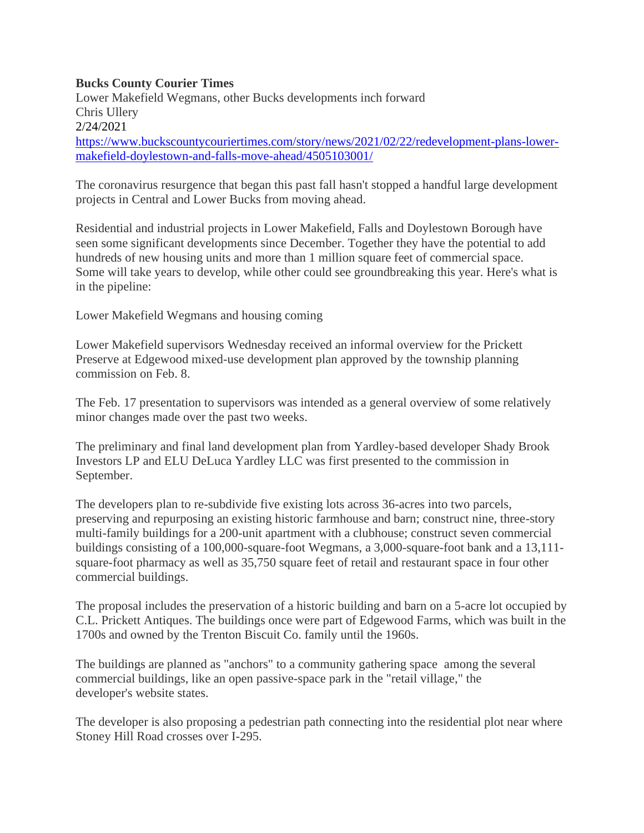## **Bucks County Courier Times**

Lower Makefield Wegmans, other Bucks developments inch forward [Chris Ullery](https://www.buckscountycouriertimes.com/staff/5573447002/chris-ullery/) 2/24/2021 [https://www.buckscountycouriertimes.com/story/news/2021/02/22/redevelopment-plans-lower](https://www.buckscountycouriertimes.com/story/news/2021/02/22/redevelopment-plans-lower-makefield-doylestown-and-falls-move-ahead/4505103001/)[makefield-doylestown-and-falls-move-ahead/4505103001/](https://www.buckscountycouriertimes.com/story/news/2021/02/22/redevelopment-plans-lower-makefield-doylestown-and-falls-move-ahead/4505103001/)

The coronavirus resurgence that began this past fall hasn't stopped a handful large development projects in Central and Lower Bucks from moving ahead.

Residential and industrial projects in Lower Makefield, Falls and Doylestown Borough have seen some significant developments since December. Together they have the potential to add hundreds of new housing units and more than 1 million square feet of commercial space. Some will take years to develop, while other could see groundbreaking this year. Here's what is in the pipeline:

Lower Makefield Wegmans and housing coming

Lower Makefield supervisors Wednesday received an informal overview for the Prickett Preserve at Edgewood mixed-use development plan approved by the township planning commission on Feb. 8.

The [Feb. 17](https://lowermakefieldpa.swagit.com/play/02182021-1067) presentation to supervisors was intended as a general overview of some relatively minor changes made over the past two weeks.

The preliminary and final land development plan from Yardley-based developer Shady Brook Investors LP and ELU DeLuca Yardley LLC was first presented to the commission in September.

The developers plan to re-subdivide five existing lots across 36-acres into two parcels, preserving and repurposing an existing historic farmhouse and barn; construct nine, three-story multi-family buildings for a 200-unit apartment with a clubhouse; construct seven commercial buildings consisting of a 100,000-square-foot Wegmans, a 3,000-square-foot bank and a 13,111 square-foot pharmacy as well as 35,750 square feet of retail and restaurant space in four other commercial buildings.

The proposal includes the preservation of a historic building and barn on a 5-acre lot occupied by C.L. Prickett Antiques. The buildings once were part of Edgewood Farms, which was built in the 1700s and owned by the Trenton Biscuit Co. family until the 1960s.

The buildings are planned as "anchors" to a community gathering space among the several commercial buildings, like an open passive-space park in the "retail village," the developer's [website](https://www.prickettpreserve.com/) states.

The developer is also proposing a pedestrian path connecting into the residential plot near where Stoney Hill Road crosses over I-295.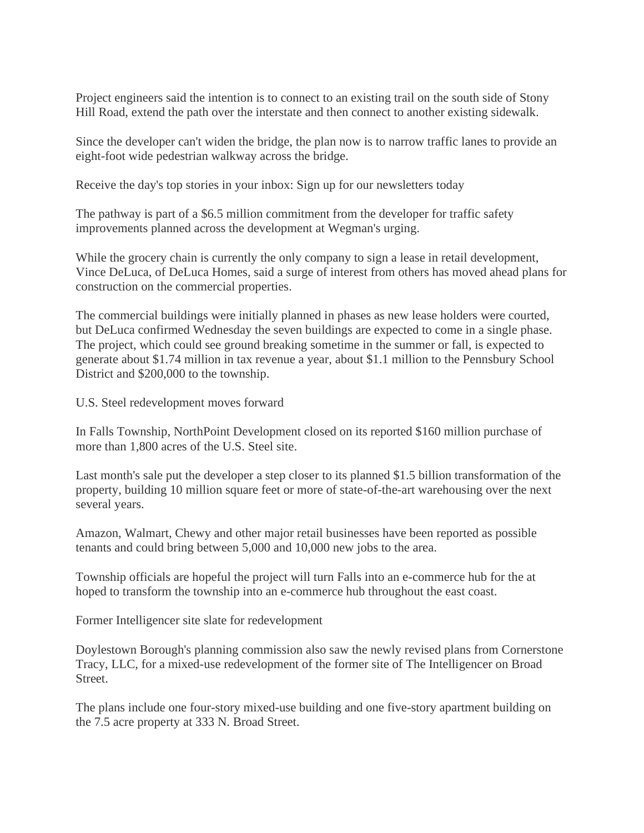Project engineers said the intention is to connect to an existing trail on the south side of Stony Hill Road, extend the path over the interstate and then connect to another existing sidewalk.

Since the developer can't widen the bridge, the plan now is to narrow traffic lanes to provide an eight-foot wide pedestrian walkway across the bridge.

Receive the day's top stories in your inbox: [Sign up for our newsletters today](https://profile.buckscountycouriertimes.com/newsletters/manage/)

The pathway is part of a \$6.5 million commitment from the developer for traffic safety improvements planned across the development at Wegman's urging.

While the grocery chain is currently the only company to sign a lease in retail development, Vince DeLuca, of DeLuca Homes, said a surge of interest from others has moved ahead plans for construction on the commercial properties.

The commercial buildings were initially planned in phases as new lease holders were courted, but DeLuca confirmed Wednesday the seven buildings are expected to come in a single phase. The project, which could see ground breaking sometime in the summer or fall, is expected to generate about \$1.74 million in tax revenue a year, about \$1.1 million to the Pennsbury School District and \$200,000 to the township.

U.S. Steel redevelopment moves forward

In Falls Township, NorthPoint Development closed on its reported \$160 million purchase of more than 1,800 acres of the U.S. Steel site.

Last month's sale put the developer a step closer to its planned \$1.5 billion transformation of the property, building 10 million square feet or more of state-of-the-art warehousing over the next several years.

Amazon, Walmart, Chewy and other major retail businesses have been reported as possible tenants and could bring between 5,000 and 10,000 new jobs to the area.

Township officials are hopeful the project will turn Falls into an e-commerce hub for the at hoped to transform the township into an e-commerce hub throughout the east coast.

Former Intelligencer site slate for redevelopment

Doylestown Borough's planning commission also saw the newly revised plans from Cornerstone Tracy, LLC, for a mixed-use redevelopment of the former site of The Intelligencer on Broad Street.

The plans include one four-story mixed-use building and one five-story apartment building on the 7.5 acre property at 333 N. Broad Street.